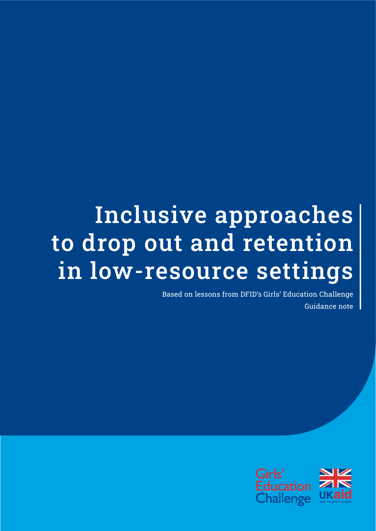# Inclusive approaches to drop out and retention in low-resource settings

Based on lessons from DFID's Girls' Education Challenge Guidance note

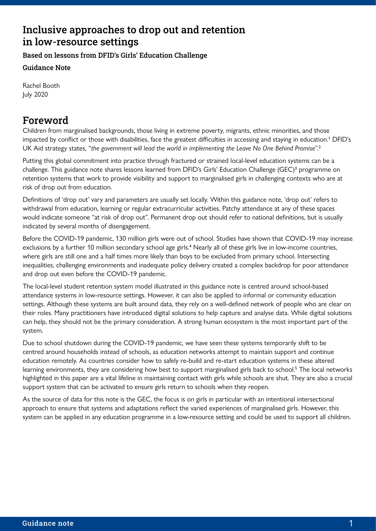# Inclusive approaches to drop out and retention in low-resource settings

Based on lessons from DFID's Girls' Education Challenge

Guidance Note

Rachel Booth July 2020

# Foreword

Children from marginalised backgrounds, those living in extreme poverty, migrants, ethnic minorities, and those impacted by conflict or those with disabilities, face the greatest difficulties in accessing and staying in education.<sup>1</sup> DFID's UK Aid strategy states, "*the government will lead the world in implementing the Leave No One Behind Promise*".<sup>2</sup>

Putting this global commitment into practice through fractured or strained local-level education systems can be a challenge. This guidance note shares lessons learned from DFID's Girls' Education Challenge (GEC)<sup>3</sup> programme on retention systems that work to provide visibility and support to marginalised girls in challenging contexts who are at risk of drop out from education.

Definitions of 'drop out' vary and parameters are usually set locally. Within this guidance note, 'drop out' refers to withdrawal from education, learning or regular extracurricular activities. Patchy attendance at any of these spaces would indicate someone "at risk of drop out". Permanent drop out should refer to national definitions, but is usually indicated by several months of disengagement.

Before the COVID-19 pandemic, 130 million girls were out of school. Studies have shown that COVID-19 may increase exclusions by a further 10 million secondary school age girls.<sup>4</sup> Nearly all of these girls live in low-income countries, where girls are still one and a half times more likely than boys to be excluded from primary school. Intersecting inequalities, challenging environments and inadequate policy delivery created a complex backdrop for poor attendance and drop out even before the COVID-19 pandemic.

The local-level student retention system model illustrated in this guidance note is centred around school-based attendance systems in low-resource settings. However, it can also be applied to informal or community education settings. Although these systems are built around data, they rely on a well-defined network of people who are clear on their roles. Many practitioners have introduced digital solutions to help capture and analyse data. While digital solutions can help, they should not be the primary consideration. A strong human ecosystem is the most important part of the system.

Due to school shutdown during the COVID-19 pandemic, we have seen these systems temporarily shift to be centred around households instead of schools, as education networks attempt to maintain support and continue education remotely. As countries consider how to safely re-build and re-start education systems in these altered learning environments, they are considering how best to support marginalised girls back to school.<sup>5</sup> The local networks highlighted in this paper are a vital lifeline in maintaining contact with girls while schools are shut. They are also a crucial support system that can be activated to ensure girls return to schools when they reopen.

As the source of data for this note is the GEC, the focus is on girls in particular with an intentional intersectional approach to ensure that systems and adaptations reflect the varied experiences of marginalised girls. However, this system can be applied in any education programme in a low-resource setting and could be used to support all children.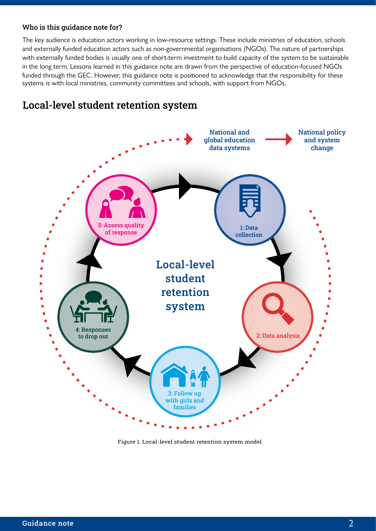#### Who is this guidance note for?

The key audience is education actors working in low-resource settings. These include ministries of education, schools and externally funded education actors such as non-governmental organisations (NGOs). The nature of partnerships with externally funded bodies is usually one of short-term investment to build capacity of the system to be sustainable in the long term. Lessons learned in this guidance note are drawn from the perspective of education-focused NGOs funded through the GEC. However, this guidance note is positioned to acknowledge that the responsibility for these systems is with local ministries, community committees and schools, with support from NGOs.

# Local-level student retention system



Figure 1: Local-level student retention system model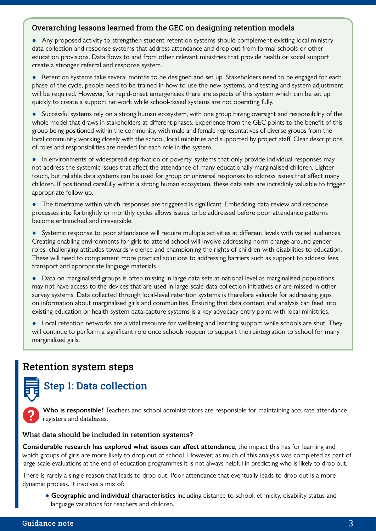#### Overarching lessons learned from the GEC on designing retention models

● Any proposed activity to strengthen student retention systems should complement existing local ministry data collection and response systems that address attendance and drop out from formal schools or other education provisions. Data flows to and from other relevant ministries that provide health or social support create a stronger referral and response system.

● Retention systems take several months to be designed and set up. Stakeholders need to be engaged for each phase of the cycle, people need to be trained in how to use the new systems, and testing and system adjustment will be required. However, for rapid-onset emergencies there are aspects of this system which can be set up quickly to create a support network while school-based systems are not operating fully.

● Successful systems rely on a strong human ecosystem, with one group having oversight and responsibility of the whole model that draws in stakeholders at different phases. Experience from the GEC points to the benefit of this group being positioned within the community, with male and female representatives of diverse groups from the local community working closely with the school, local ministries and supported by project staff. Clear descriptions of roles and responsibilities are needed for each role in the system.

● In environments of widespread deprivation or poverty, systems that only provide individual responses may not address the systemic issues that affect the attendance of many educationally marginalised children. Lighter touch, but reliable data systems can be used for group or universal responses to address issues that affect many children. If positioned carefully within a strong human ecosystem, these data sets are incredibly valuable to trigger appropriate follow up.

• The timeframe within which responses are triggered is significant. Embedding data review and response processes into fortnightly or monthly cycles allows issues to be addressed before poor attendance patterns become entrenched and irreversible.

● Systemic response to poor attendance will require multiple activities at different levels with varied audiences. Creating enabling environments for girls to attend school will involve addressing norm change around gender roles, challenging attitudes towards violence and championing the rights of children with disabilities to education. These will need to complement more practical solutions to addressing barriers such as support to address fees, transport and appropriate language materials.

● Data on marginalised groups is often missing in large data sets at national level as marginalised populations may not have access to the devices that are used in large-scale data collection initiatives or are missed in other survey systems. Data collected through local-level retention systems is therefore valuable for addressing gaps on information about marginalised girls and communities. Ensuring that data content and analysis can feed into existing education or health system data-capture systems is a key advocacy entry point with local ministries.

● Local retention networks are a vital resource for wellbeing and learning support while schools are shut. They will continue to perform a significant role once schools reopen to support the reintegration to school for many marginalised girls.

# Retention system steps

# Step 1: Data collection

**Who is responsible?** Teachers and school administrators are responsible for maintaining accurate attendance registers and databases.

#### What data should be included in retention systems?

**Considerable research has explored what issues can affect attendance**, the impact this has for learning and which groups of girls are more likely to drop out of school. However, as much of this analysis was completed as part of large-scale evaluations at the end of education programmes it is not always helpful in predicting who is likely to drop out.

There is rarely a single reason that leads to drop out. Poor attendance that eventually leads to drop out is a more dynamic process. It involves a mix of:

 ● **Geographic and individual characteristics** including distance to school, ethnicity, disability status and language variations for teachers and children.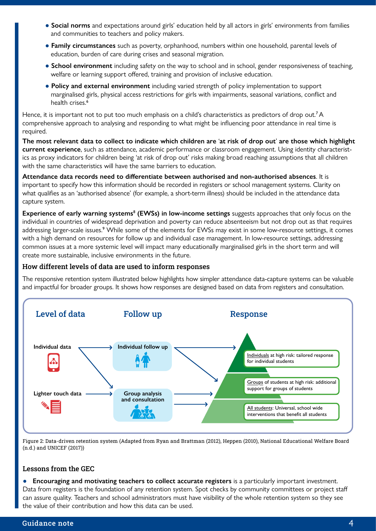- **Social norms** and expectations around girls' education held by all actors in girls' environments from families and communities to teachers and policy makers.
- **Family circumstances** such as poverty, orphanhood, numbers within one household, parental levels of education, burden of care during crises and seasonal migration.
- **School environment** including safety on the way to school and in school, gender responsiveness of teaching, welfare or learning support offered, training and provision of inclusive education.
- **Policy and external environment** including varied strength of policy implementation to support marginalised girls, physical access restrictions for girls with impairments, seasonal variations, conflict and health crises.<sup>6</sup>

Hence, it is important not to put too much emphasis on a child's characteristics as predictors of drop out.<sup>7</sup>A comprehensive approach to analysing and responding to what might be influencing poor attendance in real time is required.

**The most relevant data to collect to indicate which children are** '**at risk of drop out**' **are those which highlight current experience**, such as attendance, academic performance or classroom engagement. Using identity characteristics as proxy indicators for children being 'at risk of drop out' risks making broad reaching assumptions that all children with the same characteristics will have the same barriers to education.

**Attendance data records need to differentiate between authorised and non-authorised absences**. It is important to specify how this information should be recorded in registers or school management systems. Clarity on what qualifies as an 'authorised absence' (for example, a short-term illness) should be included in the attendance data capture system.

**Experience of early warning systems**<sup>8</sup> **(EWSs) in low-income settings** suggests approaches that only focus on the individual in countries of widespread deprivation and poverty can reduce absenteeism but not drop out as that requires addressing larger-scale issues.<sup>9</sup> While some of the elements for EWSs may exist in some low-resource settings, it comes with a high demand on resources for follow up and individual case management. In low-resource settings, addressing common issues at a more systemic level will impact many educationally marginalised girls in the short term and will create more sustainable, inclusive environments in the future.

#### How different levels of data are used to inform responses

The responsive retention system illustrated below highlights how simpler attendance data-capture systems can be valuable and impactful for broader groups. It shows how responses are designed based on data from registers and consultation.



Figure 2: Data-driven retention system (Adapted from Ryan and Brattman (2012), Heppen (2010), National Educational Welfare Board (n.d.) and UNICEF (2017))

#### Lessons from the GEC

● **Encouraging and motivating teachers to collect accurate registers** is a particularly important investment. Data from registers is the foundation of any retention system. Spot checks by community committees or project staff can assure quality. Teachers and school administrators must have visibility of the whole retention system so they see the value of their contribution and how this data can be used.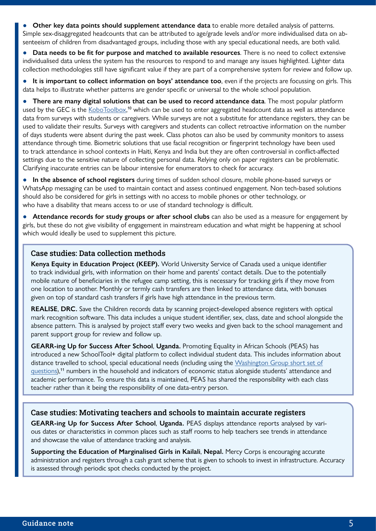**Other key data points should supplement attendance data** to enable more detailed analysis of patterns. Simple sex-disaggregated headcounts that can be attributed to age/grade levels and/or more individualised data on absenteeism of children from disadvantaged groups, including those with any special educational needs, are both valid.

● **Data needs to be fit for purpose and matched to available resources**. There is no need to collect extensive individualised data unless the system has the resources to respond to and manage any issues highlighted. Lighter data collection methodologies still have significant value if they are part of a comprehensive system for review and follow up.

● **It is important to collect information on boys' attendance too**, even if the projects are focussing on girls. This data helps to illustrate whether patterns are gender specific or universal to the whole school population.

**There are many digital solutions that can be used to record attendance data**. The most popular platform used by the GEC is the [KoboToolbox,](https://www.kobotoolbox.org/)<sup>10</sup> which can be used to enter aggregated headcount data as well as attendance data from surveys with students or caregivers. While surveys are not a substitute for attendance registers, they can be used to validate their results. Surveys with caregivers and students can collect retroactive information on the number of days students were absent during the past week. Class photos can also be used by community monitors to assess attendance through time. Biometric solutions that use facial recognition or fingerprint technology have been used to track attendance in school contexts in Haiti, Kenya and India but they are often controversial in conflict-affected settings due to the sensitive nature of collecting personal data. Relying only on paper registers can be problematic. Clarifying inaccurate entries can be labour intensive for enumerators to check for accuracy.

● **In the absence of school registers** during times of sudden school closure, mobile phone-based surveys or WhatsApp messaging can be used to maintain contact and assess continued engagement. Non tech-based solutions should also be considered for girls in settings with no access to mobile phones or other technology, or who have a disability that means access to or use of standard technology is difficult.

Attendance records for study groups or after school clubs can also be used as a measure for engagement by girls, but these do not give visibility of engagement in mainstream education and what might be happening at school which would ideally be used to supplement this picture.

#### Case studies: Data collection methods

**Kenya Equity in Education Project (KEEP).** World University Service of Canada used a unique identifier to track individual girls, with information on their home and parents' contact details. Due to the potentially mobile nature of beneficiaries in the refugee camp setting, this is necessary for tracking girls if they move from one location to another. Monthly or termly cash transfers are then linked to attendance data, with bonuses given on top of standard cash transfers if girls have high attendance in the previous term.

**REALISE**, **DRC.** Save the Children records data by scanning project-developed absence registers with optical mark recognition software. This data includes a unique student identifier, sex, class, date and school alongside the absence pattern. This is analysed by project staff every two weeks and given back to the school management and parent support group for review and follow up.

**GEARR-ing Up for Success After School**, **Uganda.** Promoting Equality in African Schools (PEAS) has introduced a new SchoolTool+ digital platform to collect individual student data. This includes information about distance travelled to school, special educational needs (including using the [Washington Group short set of](http://www.
washingtongroup-disability.com)  [questions](http://www.
washingtongroup-disability.com)),<sup>11</sup> numbers in the household and indicators of economic status alongside students' attendance and academic performance. To ensure this data is maintained, PEAS has shared the responsibility with each class teacher rather than it being the responsibility of one data-entry person.

#### Case studies: Motivating teachers and schools to maintain accurate registers

**GEARR-ing Up for Success After School**, **Uganda.** PEAS displays attendance reports analysed by various dates or characteristics in common places such as staff rooms to help teachers see trends in attendance and showcase the value of attendance tracking and analysis.

**Supporting the Education of Marginalised Girls in Kailali**, **Nepal.** Mercy Corps is encouraging accurate administration and registers through a cash grant scheme that is given to schools to invest in infrastructure. Accuracy is assessed through periodic spot checks conducted by the project.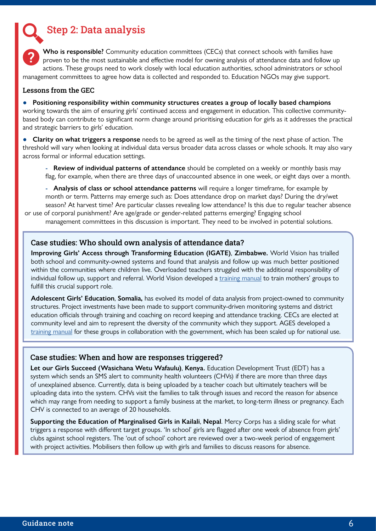Step 2: Data analysis

**Who is responsible?** Community education committees (CECs) that connect schools with families have proven to be the most sustainable and effective model for owning analysis of attendance data and follow up actions. These groups need to work closely with local education authorities, school administrators or school management committees to agree how data is collected and responded to. Education NGOs may give support.

#### Lessons from the GEC

● **Positioning responsibility within community structures creates a group of locally based champions** working towards the aim of ensuring girls' continued access and engagement in education. This collective communitybased body can contribute to significant norm change around prioritising education for girls as it addresses the practical and strategic barriers to girls' education.

● **Clarity on what triggers a response** needs to be agreed as well as the timing of the next phase of action. The threshold will vary when looking at individual data versus broader data across classes or whole schools. It may also vary across formal or informal education settings.

 - **Review of individual patterns of attendance** should be completed on a weekly or monthly basis may flag, for example, when there are three days of unaccounted absence in one week, or eight days over a month.

 - **Analysis of class or school attendance patterns** will require a longer timeframe, for example by month or term. Patterns may emerge such as: Does attendance drop on market days? During the dry/wet season? At harvest time? Are particular classes revealing low attendance? Is this due to regular teacher absence or use of corporal punishment? Are age/grade or gender-related patterns emerging? Engaging school management committees in this discussion is important. They need to be involved in potential solutions.

#### Case studies: Who should own analysis of attendance data?

**Improving Girls' Access through Transforming Education (IGATE)**, **Zimbabwe.** World Vision has trialled both school and community-owned systems and found that analysis and follow up was much better positioned within the communities where children live. Overloaded teachers struggled with the additional responsibility of individual follow up, support and referral. World Vision developed a [training manual](https://careint.uk/IGATE-mothersgroup-manual-PDF) to train mothers' groups to fulfill this crucial support role.

**Adolescent Girls' Education**, **Somalia,** has evolved its model of data analysis from project-owned to community structures. Project investments have been made to support community-driven monitoring systems and district education officials through training and coaching on record keeping and attendance tracking. CECs are elected at community level and aim to represent the diversity of the community which they support. AGES developed a [training manual](https://careint.uk/CEC_Training_Manual_Puntland) for these groups in collaboration with the government, which has been scaled up for national use.

#### Case studies: When and how are responses triggered?

**Let our Girls Succeed (Wasichana Wetu Wafaulu)**, **Kenya.** Education Development Trust (EDT) has a system which sends an SMS alert to community health volunteers (CHVs) if there are more than three days of unexplained absence. Currently, data is being uploaded by a teacher coach but ultimately teachers will be uploading data into the system. CHVs visit the families to talk through issues and record the reason for absence which may range from needing to support a family business at the market, to long-term illness or pregnancy. Each CHV is connected to an average of 20 households.

**Supporting the Education of Marginalised Girls in Kailali**, **Nepal**. Mercy Corps has a sliding scale for what triggers a response with different target groups. 'In school' girls are flagged after one week of absence from girls' clubs against school registers. The 'out of school' cohort are reviewed over a two-week period of engagement with project activities. Mobilisers then follow up with girls and families to discuss reasons for absence.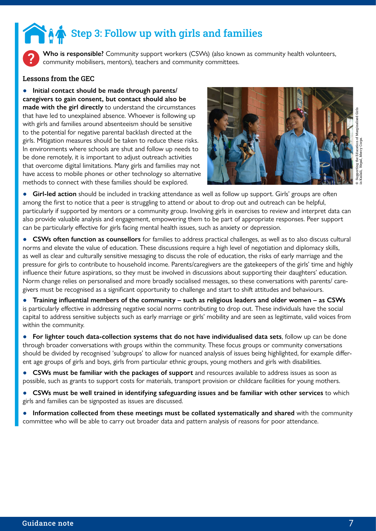# Step 3: Follow up with girls and families

**Who is responsible?** Community support workers (CSWs) (also known as community health volunteers, community mobilisers, mentors), teachers and community committees.

#### Lessons from the GEC

Initial contact should be made through parents/ **caregivers to gain consent, but contact should also be made with the girl directly** to understand the circumstances that have led to unexplained absence. Whoever is following up with girls and families around absenteeism should be sensitive to the potential for negative parental backlash directed at the girls. Mitigation measures should be taken to reduce these risks. In environments where schools are shut and follow up needs to be done remotely, it is important to adjust outreach activities that overcome digital limitations. Many girls and families may not have access to mobile phones or other technology so alternative methods to connect with these families should be explored.



**Girl-led action** should be included in tracking attendance as well as follow up support. Girls' groups are often among the first to notice that a peer is struggling to attend or about to drop out and outreach can be helpful, particularly if supported by mentors or a community group. Involving girls in exercises to review and interpret data can also provide valuable analysis and engagement, empowering them to be part of appropriate responses. Peer support can be particularly effective for girls facing mental health issues, such as anxiety or depression.

● **CSWs often function as counsellors** for families to address practical challenges, as well as to also discuss cultural norms and elevate the value of education. These discussions require a high level of negotiation and diplomacy skills, as well as clear and culturally sensitive messaging to discuss the role of education, the risks of early marriage and the pressure for girls to contribute to household income. Parents/caregivers are the gatekeepers of the girls' time and highly influence their future aspirations, so they must be involved in discussions about supporting their daughters' education. Norm change relies on personalised and more broadly socialised messages, so these conversations with parents/ caregivers must be recognised as a significant opportunity to challenge and start to shift attitudes and behaviours.

● **Training influential members of the community – such as religious leaders and older women – as CSWs** is particularly effective in addressing negative social norms contributing to drop out. These individuals have the social capital to address sensitive subjects such as early marriage or girls' mobility and are seen as legitimate, valid voices from within the community.

● **For lighter touch data-collection systems that do not have individualised data sets**, follow up can be done through broader conversations with groups within the community. These focus groups or community conversations should be divided by recognised 'subgroups' to allow for nuanced analysis of issues being highlighted, for example different age groups of girls and boys, girls from particular ethnic groups, young mothers and girls with disabilities.

- **CSWs must be familiar with the packages of support** and resources available to address issues as soon as possible, such as grants to support costs for materials, transport provision or childcare facilities for young mothers.
- **CSWs must be well trained in identifying safeguarding issues and be familiar with other services** to which girls and families can be signposted as issues are discussed.
- **Information collected from these meetings must be collated systematically and shared** with the community committee who will be able to carry out broader data and pattern analysis of reasons for poor attendance.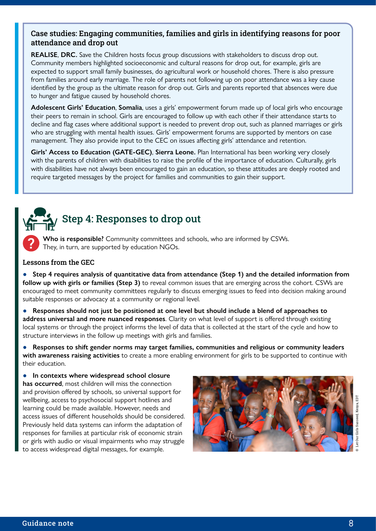#### Case studies: Engaging communities, families and girls in identifying reasons for poor attendance and drop out

**REALISE**, **DRC.** Save the Children hosts focus group discussions with stakeholders to discuss drop out. Community members highlighted socioeconomic and cultural reasons for drop out, for example, girls are expected to support small family businesses, do agricultural work or household chores. There is also pressure from families around early marriage. The role of parents not following up on poor attendance was a key cause identified by the group as the ultimate reason for drop out. Girls and parents reported that absences were due to hunger and fatigue caused by household chores.

**Adolescent Girls' Education**, **Somalia**, uses a girls' empowerment forum made up of local girls who encourage their peers to remain in school. Girls are encouraged to follow up with each other if their attendance starts to decline and flag cases where additional support is needed to prevent drop out, such as planned marriages or girls who are struggling with mental health issues. Girls' empowerment forums are supported by mentors on case management. They also provide input to the CEC on issues affecting girls' attendance and retention.

**Girls' Access to Education (GATE-GEC)**, **Sierra Leone.** Plan International has been working very closely with the parents of children with disabilities to raise the profile of the importance of education. Culturally, girls with disabilities have not always been encouraged to gain an education, so these attitudes are deeply rooted and require targeted messages by the project for families and communities to gain their support.

# Step 4: Responses to drop out

**Who is responsible?** Community committees and schools, who are informed by CSWs. They, in turn, are supported by education NGOs.

#### Lessons from the GEC

- **Step 4 requires analysis of quantitative data from attendance (Step 1) and the detailed information from follow up with girls or families (Step 3)** to reveal common issues that are emerging across the cohort. CSWs are encouraged to meet community committees regularly to discuss emerging issues to feed into decision making around suitable responses or advocacy at a community or regional level.
- **Responses should not just be positioned at one level but should include a blend of approaches to address universal and more nuanced responses**. Clarity on what level of support is offered through existing local systems or through the project informs the level of data that is collected at the start of the cycle and how to structure interviews in the follow up meetings with girls and families.

Responses to shift gender norms may target families, communities and religious or community leaders **with awareness raising activities** to create a more enabling environment for girls to be supported to continue with their education.

In contexts where widespread school closure **has occurred**, most children will miss the connection and provision offered by schools, so universal support for wellbeing, access to psychosocial support hotlines and learning could be made available. However, needs and access issues of different households should be considered. Previously held data systems can inform the adaptation of responses for families at particular risk of economic strain or girls with audio or visual impairments who may struggle to access widespread digital messages, for example.

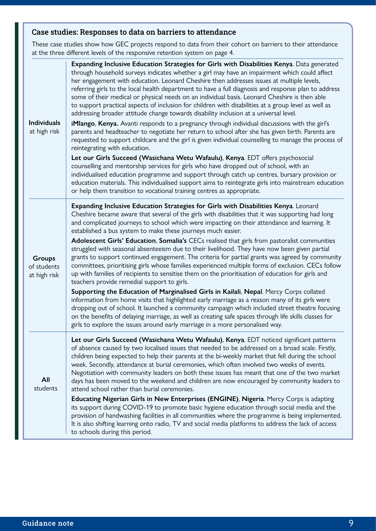### Case studies: Responses to data on barriers to attendance

These case studies show how GEC projects respond to data from their cohort on barriers to their attendance at the three different levels of the responsive retention system on page 4.

| <b>Individuals</b><br>at high risk           | Expanding Inclusive Education Strategies for Girls with Disabilities Kenya. Data generated<br>through household surveys indicates whether a girl may have an impairment which could affect<br>her engagement with education. Leonard Cheshire then addresses issues at multiple levels,<br>referring girls to the local health department to have a full diagnosis and response plan to address<br>some of their medical or physical needs on an individual basis. Leonard Cheshire is then able<br>to support practical aspects of inclusion for children with disabilities at a group level as well as<br>addressing broader attitude change towards disability inclusion at a universal level.<br>iMlango, Kenya. Avanti responds to a pregnancy through individual discussions with the girl's<br>parents and headteacher to negotiate her return to school after she has given birth. Parents are<br>requested to support childcare and the girl is given individual counselling to manage the process of<br>reintegrating with education.<br>Let our Girls Succeed (Wasichana Wetu Wafaulu), Kenya. EDT offers psychosocial<br>counselling and mentorship services for girls who have dropped out of school, with an<br>individualised education programme and support through catch up centres, bursary provision or<br>education materials. This individualised support aims to reintegrate girls into mainstream education<br>or help them transition to vocational training centres as appropriate. |
|----------------------------------------------|---------------------------------------------------------------------------------------------------------------------------------------------------------------------------------------------------------------------------------------------------------------------------------------------------------------------------------------------------------------------------------------------------------------------------------------------------------------------------------------------------------------------------------------------------------------------------------------------------------------------------------------------------------------------------------------------------------------------------------------------------------------------------------------------------------------------------------------------------------------------------------------------------------------------------------------------------------------------------------------------------------------------------------------------------------------------------------------------------------------------------------------------------------------------------------------------------------------------------------------------------------------------------------------------------------------------------------------------------------------------------------------------------------------------------------------------------------------------------------------------------------------|
| <b>Groups</b><br>of students<br>at high risk | Expanding Inclusive Education Strategies for Girls with Disabilities Kenya. Leonard<br>Cheshire became aware that several of the girls with disabilities that it was supporting had long<br>and complicated journeys to school which were impacting on their attendance and learning. It<br>established a bus system to make these journeys much easier.<br>Adolescent Girls' Education, Somalia's CECs realised that girls from pastoralist communities<br>struggled with seasonal absenteeism due to their livelihood. They have now been given partial<br>grants to support continued engagement. The criteria for partial grants was agreed by community<br>committees, prioritising girls whose families experienced multiple forms of exclusion. CECs follow<br>up with families of recipients to sensitise them on the prioritisation of education for girls and<br>teachers provide remedial support to girls.<br>Supporting the Education of Marginalised Girls in Kailali, Nepal. Mercy Corps collated<br>information from home visits that highlighted early marriage as a reason many of its girls were<br>dropping out of school. It launched a community campaign which included street theatre focusing<br>on the benefits of delaying marriage, as well as creating safe spaces through life skills classes for<br>girls to explore the issues around early marriage in a more personalised way.                                                                                              |
| All<br>students                              | Let our Girls Succeed (Wasichana Wetu Wafaulu), Kenya. EDT noticed significant patterns<br>of absence caused by two localised issues that needed to be addressed on a broad scale. Firstly,<br>children being expected to help their parents at the bi-weekly market that fell during the school<br>week. Secondly, attendance at burial ceremonies, which often involved two weeks of events.<br>Negotiation with community leaders on both these issues has meant that one of the two market<br>days has been moved to the weekend and children are now encouraged by community leaders to<br>attend school rather than burial ceremonies.<br>Educating Nigerian Girls in New Enterprises (ENGINE), Nigeria. Mercy Corps is adapting<br>its support during COVID-19 to promote basic hygiene education through social media and the<br>provision of handwashing facilities in all communities where the programme is being implemented.<br>It is also shifting learning onto radio, TV and social media platforms to address the lack of access<br>to schools during this period.                                                                                                                                                                                                                                                                                                                                                                                                                           |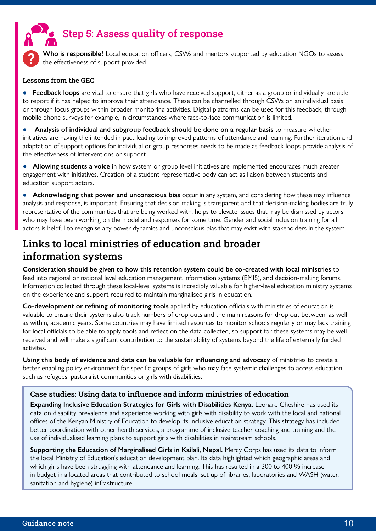

**Who is responsible?** Local education officers, CSWs and mentors supported by education NGOs to assess the effectiveness of support provided.

#### Lessons from the GEC

Feedback loops are vital to ensure that girls who have received support, either as a group or individually, are able to report if it has helped to improve their attendance. These can be channelled through CSWs on an individual basis or through focus groups within broader monitoring activities. Digital platforms can be used for this feedback, through mobile phone surveys for example, in circumstances where face-to-face communication is limited.

● **Analysis of individual and subgroup feedback should be done on a regular basis** to measure whether initiatives are having the intended impact leading to improved patterns of attendance and learning. Further iteration and adaptation of support options for individual or group responses needs to be made as feedback loops provide analysis of the effectiveness of interventions or support.

● **Allowing students a voice** in how system or group level initiatives are implemented encourages much greater engagement with initiatives. Creation of a student representative body can act as liaison between students and education support actors.

● **Acknowledging that power and unconscious bias** occur in any system, and considering how these may influence analysis and response, is important. Ensuring that decision making is transparent and that decision-making bodies are truly representative of the communities that are being worked with, helps to elevate issues that may be dismissed by actors who may have been working on the model and responses for some time. Gender and social inclusion training for all actors is helpful to recognise any power dynamics and unconscious bias that may exist with stakeholders in the system.

# Links to local ministries of education and broader information systems

**Consideration should be given to how this retention system could be co-created with local ministries** to feed into regional or national level education management information systems (EMIS), and decision-making forums. Information collected through these local-level systems is incredibly valuable for higher-level education ministry systems on the experience and support required to maintain marginalised girls in education.

**Co-development or refining of monitoring tools** applied by education officials with ministries of education is valuable to ensure their systems also track numbers of drop outs and the main reasons for drop out between, as well as within, academic years. Some countries may have limited resources to monitor schools regularly or may lack training for local officials to be able to apply tools and reflect on the data collected, so support for these systems may be well received and will make a significant contribution to the sustainability of systems beyond the life of externally funded activites.

**Using this body of evidence and data can be valuable for influencing and advocacy** of ministries to create a better enabling policy environment for specific groups of girls who may face systemic challenges to access education such as refugees, pastoralist communities or girls with disabilities.

#### Case studies: Using data to influence and inform ministries of education

**Expanding Inclusive Education Strategies for Girls with Disabilities Kenya.** Leonard Cheshire has used its data on disability prevalence and experience working with girls with disability to work with the local and national offices of the Kenyan Ministry of Education to develop its inclusive education strategy. This strategy has included better coordination with other health services, a programme of inclusive teacher coaching and training and the use of individualised learning plans to support girls with disabilities in mainstream schools.

**Supporting the Education of Marginalised Girls in Kailali**, **Nepal.** Mercy Corps has used its data to inform the local Ministry of Education's education development plan. Its data highlighted which geographic areas and which girls have been struggling with attendance and learning. This has resulted in a 300 to 400 % increase in budget in allocated areas that contributed to school meals, set up of libraries, laboratories and WASH (water, sanitation and hygiene) infrastructure.